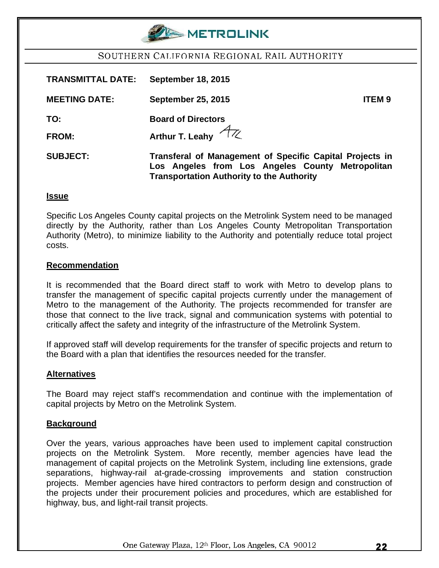

## SOUTHERN CALIFORNIA REGIONAL RAIL AUTHORITY

| <b>TRANSMITTAL DATE:</b> | <b>September 18, 2015</b>                                                                                                                                        |
|--------------------------|------------------------------------------------------------------------------------------------------------------------------------------------------------------|
| <b>MEETING DATE:</b>     | <b>September 25, 2015</b><br><b>ITEM9</b>                                                                                                                        |
| TO:                      | <b>Board of Directors</b>                                                                                                                                        |
| <b>FROM:</b>             | Arthur T. Leahy $4\pi$                                                                                                                                           |
| <b>SUBJECT:</b>          | Transferal of Management of Specific Capital Projects in<br>Los Angeles from Los Angeles County Metropolitan<br><b>Transportation Authority to the Authority</b> |

#### **Issue**

Specific Los Angeles County capital projects on the Metrolink System need to be managed directly by the Authority, rather than Los Angeles County Metropolitan Transportation Authority (Metro), to minimize liability to the Authority and potentially reduce total project costs.

#### **Recommendation**

It is recommended that the Board direct staff to work with Metro to develop plans to transfer the management of specific capital projects currently under the management of Metro to the management of the Authority. The projects recommended for transfer are those that connect to the live track, signal and communication systems with potential to critically affect the safety and integrity of the infrastructure of the Metrolink System.

If approved staff will develop requirements for the transfer of specific projects and return to the Board with a plan that identifies the resources needed for the transfer.

### **Alternatives**

The Board may reject staff's recommendation and continue with the implementation of capital projects by Metro on the Metrolink System.

#### **Background**

Over the years, various approaches have been used to implement capital construction projects on the Metrolink System. More recently, member agencies have lead the management of capital projects on the Metrolink System, including line extensions, grade separations, highway-rail at-grade-crossing improvements and station construction projects. Member agencies have hired contractors to perform design and construction of the projects under their procurement policies and procedures, which are established for highway, bus, and light-rail transit projects.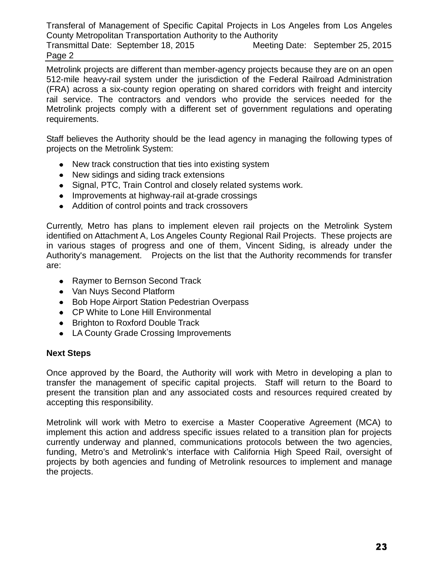Transferal of Management of Specific Capital Projects in Los Angeles from Los Angeles County Metropolitan Transportation Authority to the Authority Transmittal Date: September 18, 2015 Meeting Date: September 25, 2015 Page 2

Metrolink projects are different than member-agency projects because they are on an open 512-mile heavy-rail system under the jurisdiction of the Federal Railroad Administration (FRA) across a six-county region operating on shared corridors with freight and intercity rail service. The contractors and vendors who provide the services needed for the Metrolink projects comply with a different set of government regulations and operating requirements.

Staff believes the Authority should be the lead agency in managing the following types of projects on the Metrolink System:

- New track construction that ties into existing system
- New sidings and siding track extensions
- Signal, PTC, Train Control and closely related systems work.
- Improvements at highway-rail at-grade crossings
- Addition of control points and track crossovers

Currently, Metro has plans to implement eleven rail projects on the Metrolink System identified on Attachment A, Los Angeles County Regional Rail Projects. These projects are in various stages of progress and one of them, Vincent Siding, is already under the Authority's management. Projects on the list that the Authority recommends for transfer are:

- Raymer to Bernson Second Track
- Van Nuys Second Platform
- Bob Hope Airport Station Pedestrian Overpass
- CP White to Lone Hill Environmental
- Brighton to Roxford Double Track
- LA County Grade Crossing Improvements

## **Next Steps**

Once approved by the Board, the Authority will work with Metro in developing a plan to transfer the management of specific capital projects. Staff will return to the Board to present the transition plan and any associated costs and resources required created by accepting this responsibility.

Metrolink will work with Metro to exercise a Master Cooperative Agreement (MCA) to implement this action and address specific issues related to a transition plan for projects currently underway and planned, communications protocols between the two agencies, funding, Metro's and Metrolink's interface with California High Speed Rail, oversight of projects by both agencies and funding of Metrolink resources to implement and manage the projects.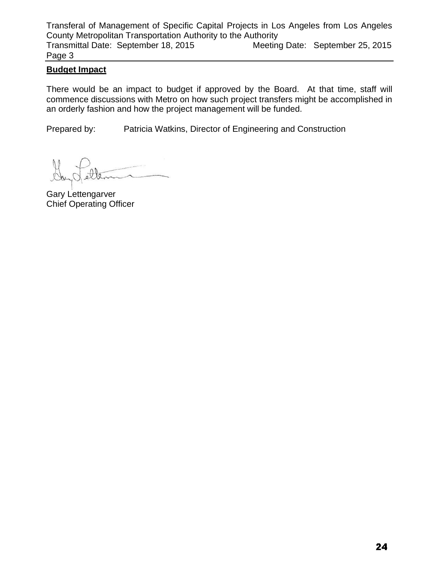Transferal of Management of Specific Capital Projects in Los Angeles from Los Angeles County Metropolitan Transportation Authority to the Authority Transmittal Date: September 18, 2015 Meeting Date: September 25, 2015 Page 3

## **Budget Impact**

There would be an impact to budget if approved by the Board. At that time, staff will commence discussions with Metro on how such project transfers might be accomplished in an orderly fashion and how the project management will be funded.

Prepared by: Patricia Watkins, Director of Engineering and Construction

Gary Lettengarver Chief Operating Officer